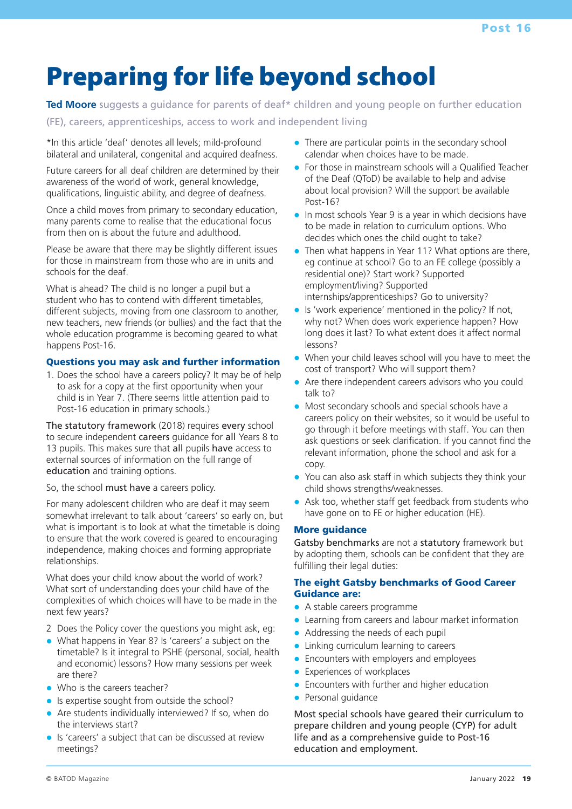# Preparing for life beyond school

**Ted Moore** suggests a guidance for parents of deaf\* children and young people on further education (FE), careers, apprenticeships, access to work and independent living

\*In this article 'deaf' denotes all levels; mild-profound bilateral and unilateral, congenital and acquired deafness.

Future careers for all deaf children are determined by their awareness of the world of work, general knowledge, qualifications, linguistic ability, and degree of deafness.

Once a child moves from primary to secondary education, many parents come to realise that the educational focus from then on is about the future and adulthood.

Please be aware that there may be slightly different issues for those in mainstream from those who are in units and schools for the deaf.

What is ahead? The child is no longer a pupil but a student who has to contend with different timetables, different subjects, moving from one classroom to another, new teachers, new friends (or bullies) and the fact that the whole education programme is becoming geared to what happens Post-16.

### Questions you may ask and further information

1. Does the school have a careers policy? It may be of help to ask for a copy at the first opportunity when your child is in Year 7. (There seems little attention paid to Post-16 education in primary schools.)

The statutory framework (2018) requires every school to secure independent careers guidance for all Years 8 to 13 pupils. This makes sure that all pupils have access to external sources of information on the full range of education and training options.

#### So, the school must have a careers policy.

For many adolescent children who are deaf it may seem somewhat irrelevant to talk about 'careers' so early on, but what is important is to look at what the timetable is doing to ensure that the work covered is geared to encouraging independence, making choices and forming appropriate relationships.

What does your child know about the world of work? What sort of understanding does your child have of the complexities of which choices will have to be made in the next few years?

- 2 Does the Policy cover the questions you might ask, eg:
- What happens in Year 8? Is 'careers' a subject on the timetable? Is it integral to PSHE (personal, social, health and economic) lessons? How many sessions per week are there?
- Who is the careers teacher?
- Is expertise sought from outside the school?
- Are students individually interviewed? If so, when do the interviews start?
- Is 'careers' a subject that can be discussed at review meetings?
- There are particular points in the secondary school calendar when choices have to be made.
- For those in mainstream schools will a Qualified Teacher of the Deaf (QToD) be available to help and advise about local provision? Will the support be available Post-16?
- In most schools Year 9 is a year in which decisions have to be made in relation to curriculum options. Who decides which ones the child ought to take?
- $\bullet$  Then what happens in Year 11? What options are there, eg continue at school? Go to an FE college (possibly a residential one)? Start work? Supported employment/living? Supported internships/apprenticeships? Go to university?
- Is 'work experience' mentioned in the policy? If not, why not? When does work experience happen? How long does it last? To what extent does it affect normal lessons?
- When your child leaves school will you have to meet the cost of transport? Who will support them?
- Are there independent careers advisors who you could talk to?
- Most secondary schools and special schools have a careers policy on their websites, so it would be useful to go through it before meetings with staff. You can then ask questions or seek clarification. If you cannot find the relevant information, phone the school and ask for a copy.
- You can also ask staff in which subjects they think your child shows strengths/weaknesses.
- Ask too, whether staff get feedback from students who have gone on to FE or higher education (HE).

#### More guidance

Gatsby benchmarks are not a statutory framework but by adopting them, schools can be confident that they are fulfilling their legal duties:

#### The eight Gatsby benchmarks of Good Career Guidance are:

- A stable careers programme
- Learning from careers and labour market information
- Addressing the needs of each pupil
- Linking curriculum learning to careers
- Encounters with employers and employees
- Experiences of workplaces
- Encounters with further and higher education
- Personal guidance

Most special schools have geared their curriculum to prepare children and young people (CYP) for adult life and as a comprehensive guide to Post-16 education and employment.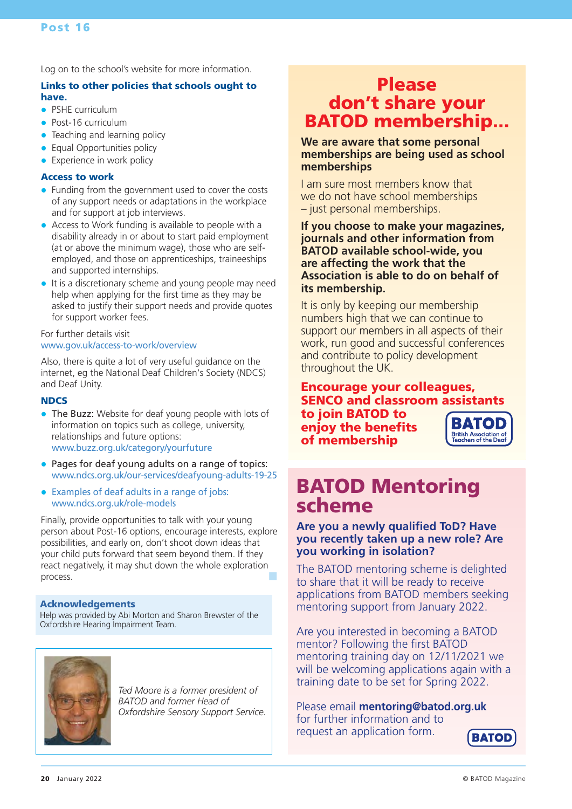Log on to the school's website for more information.

#### Links to other policies that schools ought to have.

- PSHE curriculum
- Post-16 curriculum
- Teaching and learning policy
- $\bullet$ Equal Opportunities policy
- Experience in work policy

#### Access to work

- Funding from the government used to cover the costs of any support needs or adaptations in the workplace and for support at job interviews.
- Access to Work funding is available to people with a disability already in or about to start paid employment (at or above the minimum wage), those who are selfemployed, and those on apprenticeships, traineeships and supported internships.
- It is a discretionary scheme and young people may need help when applying for the first time as they may be asked to justify their support needs and provide quotes for support worker fees.

#### For further details visit www.gov.uk/access-to-work/overview

Also, there is quite a lot of very useful guidance on the internet, eg the National Deaf Children's Society (NDCS) and Deaf Unity.

#### **NDCS**

- The Buzz: Website for deaf young people with lots of information on topics such as college, university, relationships and future options: www.buzz.org.uk/category/yourfuture
- Pages for deaf young adults on a range of topics: www.ndcs.org.uk/our-services/deafyoung-adults-19-25
- Examples of deaf adults in a range of jobs: www.ndcs.org.uk/role-models

Finally, provide opportunities to talk with your young person about Post-16 options, encourage interests, explore possibilities, and early on, don't shoot down ideas that your child puts forward that seem beyond them. If they react negatively, it may shut down the whole exploration process.

#### Acknowledgements

Help was provided by Abi Morton and Sharon Brewster of the Oxfordshire Hearing Impairment Team.



*Ted Moore is a former president of BATOD and former Head of Oxfordshire Sensory Support Service.*

# Please don't share your BATOD membership...

**We are aware that some personal memberships are being used as school memberships** 

I am sure most members know that we do not have school memberships – just personal memberships.

**If you choose to make your magazines, journals and other information from BATOD available school-wide, you are affecting the work that the Association is able to do on behalf of its membership.** 

It is only by keeping our membership numbers high that we can continue to support our members in all aspects of their work, run good and successful conferences and contribute to policy development throughout the UK.

#### Encourage your colleagues, SENCO and classroom assistants to join BATOD to **BATOD** enjoy the benefits **British Association of**<br>Teachers of the Dea of membership

BATOD Mentoring scheme

### **Are you a newly qualified ToD? Have you recently taken up a new role? Are you working in isolation?**

The BATOD mentoring scheme is delighted to share that it will be ready to receive applications from BATOD members seeking mentoring support from January 2022.

Are you interested in becoming a BATOD mentor? Following the first BATOD mentoring training day on 12/11/2021 we will be welcoming applications again with a training date to be set for Spring 2022.

Please email **mentoring@batod.org.uk** for further information and to request an application form.